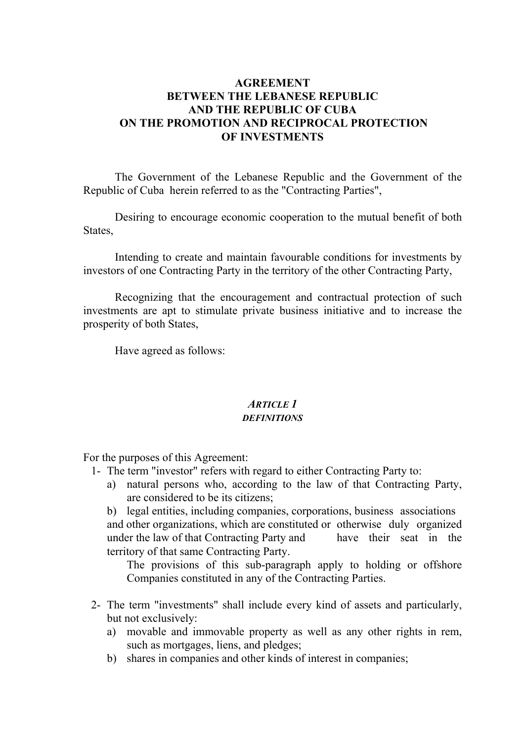# **AGREEMENT BETWEEN THE LEBANESE REPUBLIC AND THE REPUBLIC OF CUBA ON THE PROMOTION AND RECIPROCAL PROTECTION OF INVESTMENTS**

 The Government of the Lebanese Republic and the Government of the Republic of Cuba herein referred to as the "Contracting Parties",

 Desiring to encourage economic cooperation to the mutual benefit of both States.

 Intending to create and maintain favourable conditions for investments by investors of one Contracting Party in the territory of the other Contracting Party,

 Recognizing that the encouragement and contractual protection of such investments are apt to stimulate private business initiative and to increase the prosperity of both States,

Have agreed as follows:

#### *ARTICLE 1 DEFINITIONS*

For the purposes of this Agreement:

- 1- The term "investor" refers with regard to either Contracting Party to:
	- a) natural persons who, according to the law of that Contracting Party, are considered to be its citizens;

 b) legal entities, including companies, corporations, business associations and other organizations, which are constituted or otherwise duly organized under the law of that Contracting Party and have their seat in the territory of that same Contracting Party.

 The provisions of this sub-paragraph apply to holding or offshore Companies constituted in any of the Contracting Parties.

- 2- The term "investments" shall include every kind of assets and particularly, but not exclusively:
	- a) movable and immovable property as well as any other rights in rem, such as mortgages, liens, and pledges;
	- b) shares in companies and other kinds of interest in companies;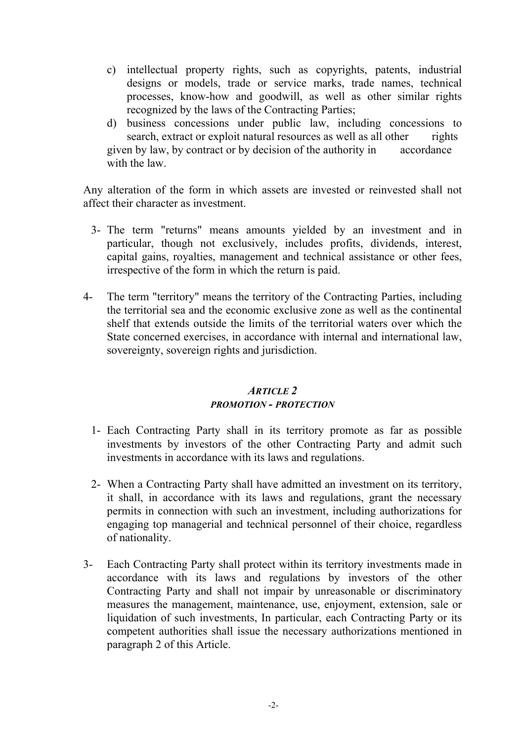- c) intellectual property rights, such as copyrights, patents, industrial designs or models, trade or service marks, trade names, technical processes, know-how and goodwill, as well as other similar rights recognized by the laws of the Contracting Parties;
- d) business concessions under public law, including concessions to search, extract or exploit natural resources as well as all other rights given by law, by contract or by decision of the authority in accordance with the law.

Any alteration of the form in which assets are invested or reinvested shall not affect their character as investment.

- 3- The term "returns" means amounts yielded by an investment and in particular, though not exclusively, includes profits, dividends, interest, capital gains, royalties, management and technical assistance or other fees, irrespective of the form in which the return is paid.
- 4- The term "territory" means the territory of the Contracting Parties, including the territorial sea and the economic exclusive zone as well as the continental shelf that extends outside the limits of the territorial waters over which the State concerned exercises, in accordance with internal and international law, sovereignty, sovereign rights and jurisdiction.

#### *ARTICLE 2 PROMOTION - PROTECTION*

- 1- Each Contracting Party shall in its territory promote as far as possible investments by investors of the other Contracting Party and admit such investments in accordance with its laws and regulations.
- 2- When a Contracting Party shall have admitted an investment on its territory, it shall, in accordance with its laws and regulations, grant the necessary permits in connection with such an investment, including authorizations for engaging top managerial and technical personnel of their choice, regardless of nationality.
- 3- Each Contracting Party shall protect within its territory investments made in accordance with its laws and regulations by investors of the other Contracting Party and shall not impair by unreasonable or discriminatory measures the management, maintenance, use, enjoyment, extension, sale or liquidation of such investments, In particular, each Contracting Party or its competent authorities shall issue the necessary authorizations mentioned in paragraph 2 of this Article.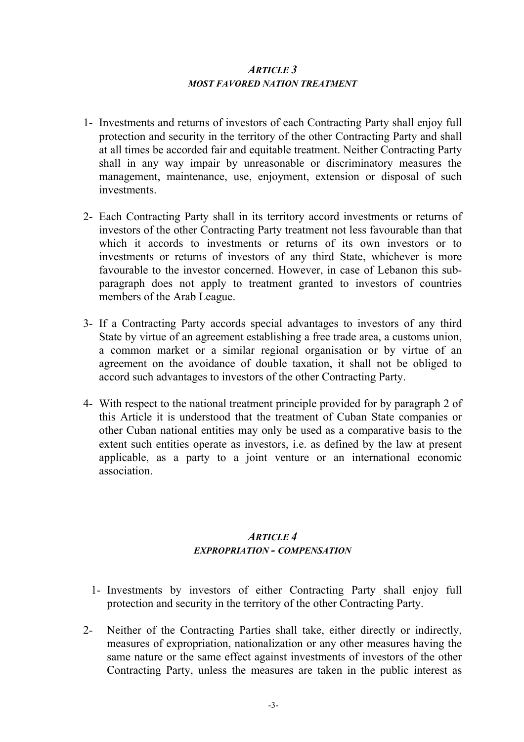#### *ARTICLE 3 MOST FAVORED NATION TREATMENT*

- 1- Investments and returns of investors of each Contracting Party shall enjoy full protection and security in the territory of the other Contracting Party and shall at all times be accorded fair and equitable treatment. Neither Contracting Party shall in any way impair by unreasonable or discriminatory measures the management, maintenance, use, enjoyment, extension or disposal of such investments.
- 2- Each Contracting Party shall in its territory accord investments or returns of investors of the other Contracting Party treatment not less favourable than that which it accords to investments or returns of its own investors or to investments or returns of investors of any third State, whichever is more favourable to the investor concerned. However, in case of Lebanon this subparagraph does not apply to treatment granted to investors of countries members of the Arab League.
- 3- If a Contracting Party accords special advantages to investors of any third State by virtue of an agreement establishing a free trade area, a customs union, a common market or a similar regional organisation or by virtue of an agreement on the avoidance of double taxation, it shall not be obliged to accord such advantages to investors of the other Contracting Party.
- 4- With respect to the national treatment principle provided for by paragraph 2 of this Article it is understood that the treatment of Cuban State companies or other Cuban national entities may only be used as a comparative basis to the extent such entities operate as investors, i.e. as defined by the law at present applicable, as a party to a joint venture or an international economic association.

# *ARTICLE 4 EXPROPRIATION - COMPENSATION*

- 1- Investments by investors of either Contracting Party shall enjoy full protection and security in the territory of the other Contracting Party.
- 2- Neither of the Contracting Parties shall take, either directly or indirectly, measures of expropriation, nationalization or any other measures having the same nature or the same effect against investments of investors of the other Contracting Party, unless the measures are taken in the public interest as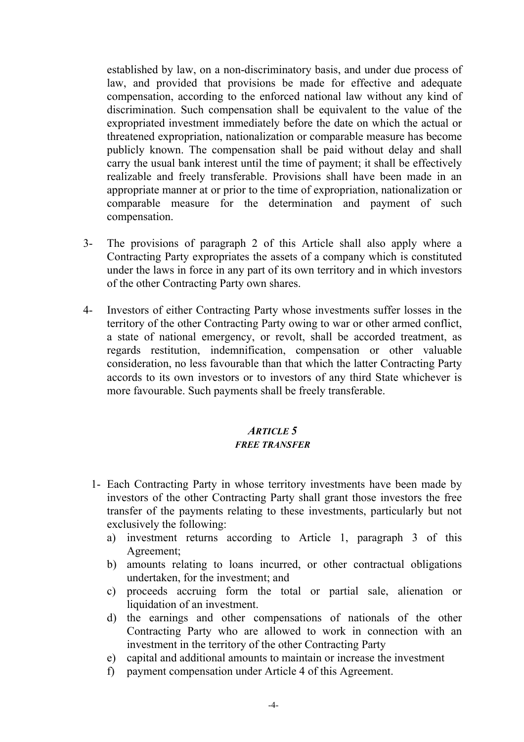established by law, on a non-discriminatory basis, and under due process of law, and provided that provisions be made for effective and adequate compensation, according to the enforced national law without any kind of discrimination. Such compensation shall be equivalent to the value of the expropriated investment immediately before the date on which the actual or threatened expropriation, nationalization or comparable measure has become publicly known. The compensation shall be paid without delay and shall carry the usual bank interest until the time of payment; it shall be effectively realizable and freely transferable. Provisions shall have been made in an appropriate manner at or prior to the time of expropriation, nationalization or comparable measure for the determination and payment of such compensation.

- 3- The provisions of paragraph 2 of this Article shall also apply where a Contracting Party expropriates the assets of a company which is constituted under the laws in force in any part of its own territory and in which investors of the other Contracting Party own shares.
- 4- Investors of either Contracting Party whose investments suffer losses in the territory of the other Contracting Party owing to war or other armed conflict, a state of national emergency, or revolt, shall be accorded treatment, as regards restitution, indemnification, compensation or other valuable consideration, no less favourable than that which the latter Contracting Party accords to its own investors or to investors of any third State whichever is more favourable. Such payments shall be freely transferable.

# *ARTICLE 5 FREE TRANSFER*

- 1- Each Contracting Party in whose territory investments have been made by investors of the other Contracting Party shall grant those investors the free transfer of the payments relating to these investments, particularly but not exclusively the following:
	- a) investment returns according to Article 1, paragraph 3 of this Agreement;
	- b) amounts relating to loans incurred, or other contractual obligations undertaken, for the investment; and
	- c) proceeds accruing form the total or partial sale, alienation or liquidation of an investment.
	- d) the earnings and other compensations of nationals of the other Contracting Party who are allowed to work in connection with an investment in the territory of the other Contracting Party
	- e) capital and additional amounts to maintain or increase the investment
	- f) payment compensation under Article 4 of this Agreement.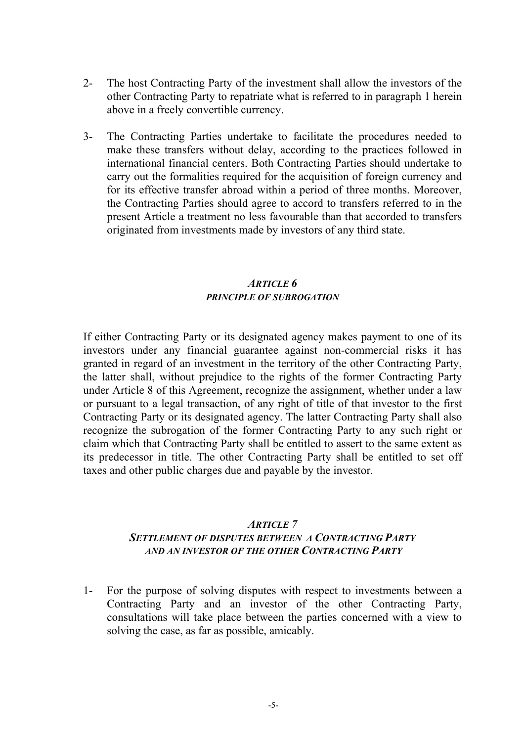- 2- The host Contracting Party of the investment shall allow the investors of the other Contracting Party to repatriate what is referred to in paragraph 1 herein above in a freely convertible currency.
- 3- The Contracting Parties undertake to facilitate the procedures needed to make these transfers without delay, according to the practices followed in international financial centers. Both Contracting Parties should undertake to carry out the formalities required for the acquisition of foreign currency and for its effective transfer abroad within a period of three months. Moreover, the Contracting Parties should agree to accord to transfers referred to in the present Article a treatment no less favourable than that accorded to transfers originated from investments made by investors of any third state.

#### *ARTICLE 6 PRINCIPLE OF SUBROGATION*

If either Contracting Party or its designated agency makes payment to one of its investors under any financial guarantee against non-commercial risks it has granted in regard of an investment in the territory of the other Contracting Party, the latter shall, without prejudice to the rights of the former Contracting Party under Article 8 of this Agreement, recognize the assignment, whether under a law or pursuant to a legal transaction, of any right of title of that investor to the first Contracting Party or its designated agency. The latter Contracting Party shall also recognize the subrogation of the former Contracting Party to any such right or claim which that Contracting Party shall be entitled to assert to the same extent as its predecessor in title. The other Contracting Party shall be entitled to set off taxes and other public charges due and payable by the investor.

#### *ARTICLE 7 SETTLEMENT OF DISPUTES BETWEEN A CONTRACTING PARTY AND AN INVESTOR OF THE OTHER CONTRACTING PARTY*

1- For the purpose of solving disputes with respect to investments between a Contracting Party and an investor of the other Contracting Party, consultations will take place between the parties concerned with a view to solving the case, as far as possible, amicably.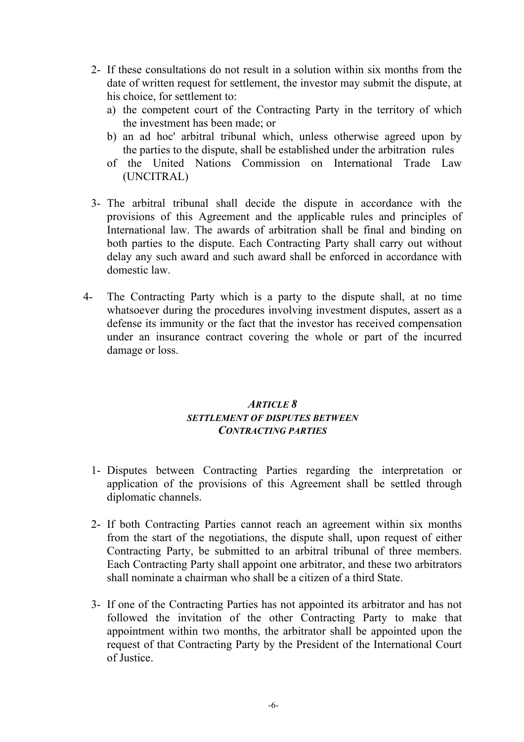- 2- If these consultations do not result in a solution within six months from the date of written request for settlement, the investor may submit the dispute, at his choice, for settlement to:
	- a) the competent court of the Contracting Party in the territory of which the investment has been made; or
	- b) an ad hoc' arbitral tribunal which, unless otherwise agreed upon by the parties to the dispute, shall be established under the arbitration rules
	- of the United Nations Commission on International Trade Law (UNCITRAL)
- 3- The arbitral tribunal shall decide the dispute in accordance with the provisions of this Agreement and the applicable rules and principles of International law. The awards of arbitration shall be final and binding on both parties to the dispute. Each Contracting Party shall carry out without delay any such award and such award shall be enforced in accordance with domestic law.
- 4- The Contracting Party which is a party to the dispute shall, at no time whatsoever during the procedures involving investment disputes, assert as a defense its immunity or the fact that the investor has received compensation under an insurance contract covering the whole or part of the incurred damage or loss.

#### *ARTICLE 8 SETTLEMENT OF DISPUTES BETWEEN CONTRACTING PARTIES*

- 1- Disputes between Contracting Parties regarding the interpretation or application of the provisions of this Agreement shall be settled through diplomatic channels.
- 2- If both Contracting Parties cannot reach an agreement within six months from the start of the negotiations, the dispute shall, upon request of either Contracting Party, be submitted to an arbitral tribunal of three members. Each Contracting Party shall appoint one arbitrator, and these two arbitrators shall nominate a chairman who shall be a citizen of a third State.
- 3- If one of the Contracting Parties has not appointed its arbitrator and has not followed the invitation of the other Contracting Party to make that appointment within two months, the arbitrator shall be appointed upon the request of that Contracting Party by the President of the International Court of Justice.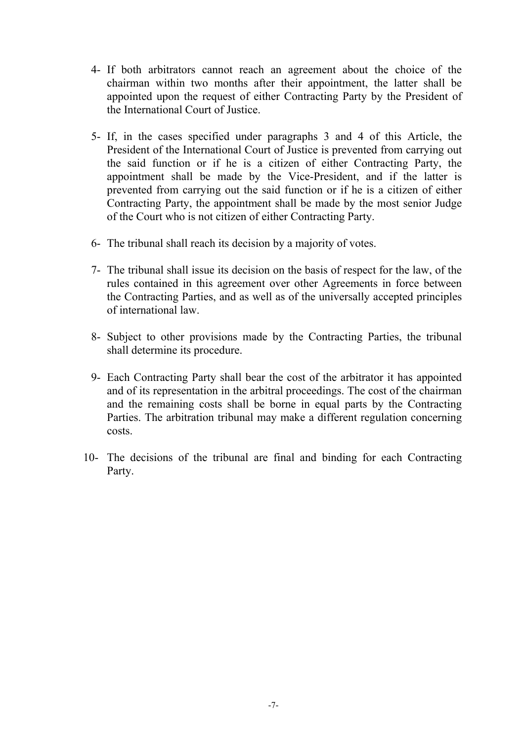- 4- If both arbitrators cannot reach an agreement about the choice of the chairman within two months after their appointment, the latter shall be appointed upon the request of either Contracting Party by the President of the International Court of Justice.
- 5- If, in the cases specified under paragraphs 3 and 4 of this Article, the President of the International Court of Justice is prevented from carrying out the said function or if he is a citizen of either Contracting Party, the appointment shall be made by the Vice-President, and if the latter is prevented from carrying out the said function or if he is a citizen of either Contracting Party, the appointment shall be made by the most senior Judge of the Court who is not citizen of either Contracting Party.
- 6- The tribunal shall reach its decision by a majority of votes.
- 7- The tribunal shall issue its decision on the basis of respect for the law, of the rules contained in this agreement over other Agreements in force between the Contracting Parties, and as well as of the universally accepted principles of international law.
- 8- Subject to other provisions made by the Contracting Parties, the tribunal shall determine its procedure.
- 9- Each Contracting Party shall bear the cost of the arbitrator it has appointed and of its representation in the arbitral proceedings. The cost of the chairman and the remaining costs shall be borne in equal parts by the Contracting Parties. The arbitration tribunal may make a different regulation concerning costs.
- 10- The decisions of the tribunal are final and binding for each Contracting Party.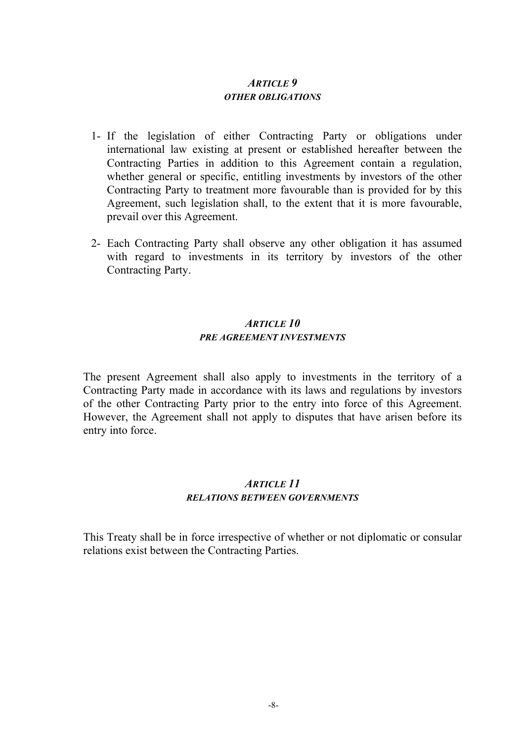#### *ARTICLE 9 OTHER OBLIGATIONS*

- 1- If the legislation of either Contracting Party or obligations under international law existing at present or established hereafter between the Contracting Parties in addition to this Agreement contain a regulation, whether general or specific, entitling investments by investors of the other Contracting Party to treatment more favourable than is provided for by this Agreement, such legislation shall, to the extent that it is more favourable, prevail over this Agreement.
- 2- Each Contracting Party shall observe any other obligation it has assumed with regard to investments in its territory by investors of the other Contracting Party.

# *ARTICLE 10 PRE AGREEMENT INVESTMENTS*

The present Agreement shall also apply to investments in the territory of a Contracting Party made in accordance with its laws and regulations by investors of the other Contracting Party prior to the entry into force of this Agreement. However, the Agreement shall not apply to disputes that have arisen before its entry into force.

# *ARTICLE 11 RELATIONS BETWEEN GOVERNMENTS*

This Treaty shall be in force irrespective of whether or not diplomatic or consular relations exist between the Contracting Parties.